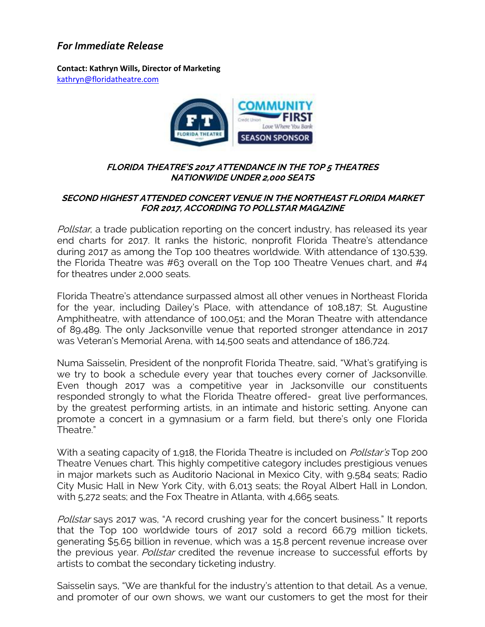## *For Immediate Release*

**Contact: Kathryn Wills, Director of Marketing**  [kathryn@floridatheatre.com](mailto:kathryn@floridatheatre.com)



## **FLORIDA THEATRE'S 2017 ATTENDANCE IN THE TOP 5 THEATRES NATIONWIDE UNDER 2,000 SEATS**

## **SECOND HIGHEST ATTENDED CONCERT VENUE IN THE NORTHEAST FLORIDA MARKET FOR 2017, ACCORDING TO POLLSTAR MAGAZINE**

Pollstar, a trade publication reporting on the concert industry, has released its year end charts for 2017. It ranks the historic, nonprofit Florida Theatre's attendance during 2017 as among the Top 100 theatres worldwide. With attendance of 130,539, the Florida Theatre was #63 overall on the Top 100 Theatre Venues chart, and #4 for theatres under 2,000 seats.

Florida Theatre's attendance surpassed almost all other venues in Northeast Florida for the year, including Dailey's Place, with attendance of 108,187; St. Augustine Amphitheatre, with attendance of 100,051; and the Moran Theatre with attendance of 89,489. The only Jacksonville venue that reported stronger attendance in 2017 was Veteran's Memorial Arena, with 14,500 seats and attendance of 186,724.

Numa Saisselin, President of the nonprofit Florida Theatre, said, "What's gratifying is we try to book a schedule every year that touches every corner of Jacksonville. Even though 2017 was a competitive year in Jacksonville our constituents responded strongly to what the Florida Theatre offered- great live performances, by the greatest performing artists, in an intimate and historic setting. Anyone can promote a concert in a gymnasium or a farm field, but there's only one Florida Theatre."

With a seating capacity of 1,918, the Florida Theatre is included on *Pollstar's* Top 200 Theatre Venues chart. This highly competitive category includes prestigious venues in major markets such as Auditorio Nacional in Mexico City, with 9,584 seats; Radio City Music Hall in New York City, with 6,013 seats; the Royal Albert Hall in London, with 5,272 seats; and the Fox Theatre in Atlanta, with 4,665 seats.

Pollstar says 2017 was, "A record crushing year for the concert business." It reports that the Top 100 worldwide tours of 2017 sold a record 66.79 million tickets, generating \$5.65 billion in revenue, which was a 15.8 percent revenue increase over the previous year. Pollstar credited the revenue increase to successful efforts by artists to combat the secondary ticketing industry.

Saisselin says, "We are thankful for the industry's attention to that detail. As a venue, and promoter of our own shows, we want our customers to get the most for their